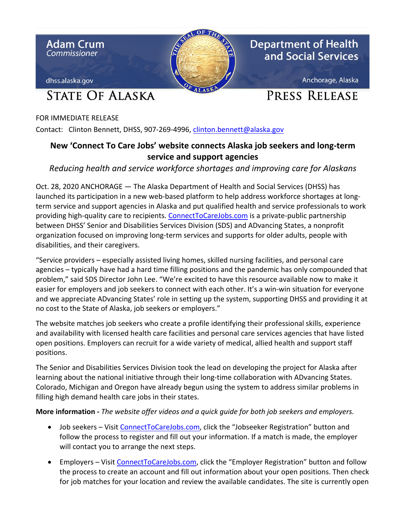

FOR IMMEDIATE RELEASE Contact: Clinton Bennett, DHSS, 907-269-4996, [clinton.bennett@alaska.gov](mailto:clinton.bennett@alaska.gov)

## **New 'Connect To Care Jobs' website connects Alaska job seekers and long-term service and support agencies**

## *Reducing health and service workforce shortages and improving care for Alaskans*

Oct. 28, 2020 ANCHORAGE — The Alaska Department of Health and Social Services (DHSS) has launched its participation in a new web-based platform to help address workforce shortages at longterm service and support agencies in Alaska and put qualified health and service professionals to work providing high-quality care to recipients. [ConnectToCareJobs.com](http://connecttocarejobs.com/) is a private-public partnership between DHSS' Senior and Disabilities Services Division (SDS) and ADvancing States, a nonprofit organization focused on improving long-term services and supports for older adults, people with disabilities, and their caregivers.

"Service providers – especially assisted living homes, skilled nursing facilities, and personal care agencies – typically have had a hard time filling positions and the pandemic has only compounded that problem," said SDS Director John Lee. "We're excited to have this resource available now to make it easier for employers and job seekers to connect with each other. It's a win-win situation for everyone and we appreciate ADvancing States' role in setting up the system, supporting DHSS and providing it at no cost to the State of Alaska, job seekers or employers."

The website matches job seekers who create a profile identifying their professional skills, experience and availability with licensed health care facilities and personal care services agencies that have listed open positions. Employers can recruit for a wide variety of medical, allied health and support staff positions.

The Senior and Disabilities Services Division took the lead on developing the project for Alaska after learning about the national initiative through their long-time collaboration with ADvancing States. Colorado, Michigan and Oregon have already begun using the system to address similar problems in filling high demand health care jobs in their states.

## **More information -** *The website offer videos and a quick guide for both job seekers and employers.*

- Job seekers Visit [ConnectToCareJobs.com,](http://connecttocarejobs.com/) click the "Jobseeker Registration" button and follow the process to register and fill out your information. If a match is made, the employer will contact you to arrange the next steps.
- Employers Visit [ConnectToCareJobs.com,](http://connecttocarejobs.com/) click the "Employer Registration" button and follow the process to create an account and fill out information about your open positions. Then check for job matches for your location and review the available candidates. The site is currently open